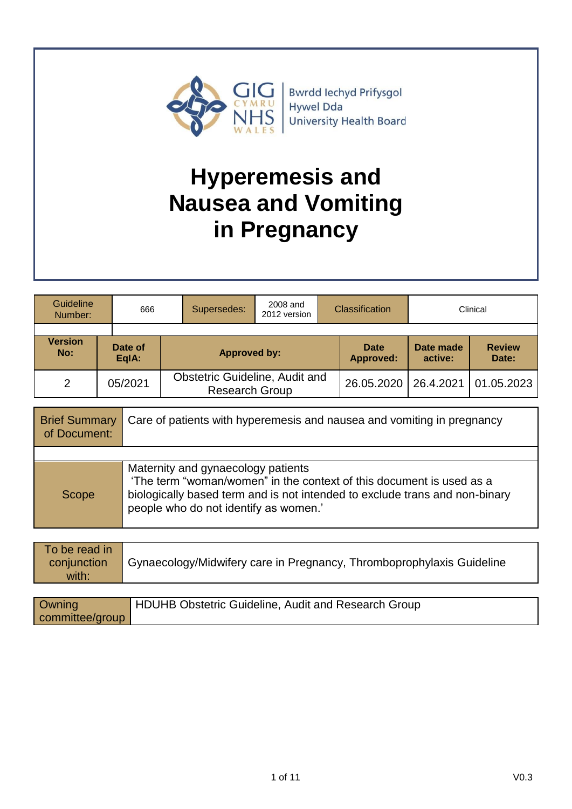

# **Hyperemesis and Nausea and Vomiting in Pregnancy**

| Guideline<br>Number:  | 666              | 2008 and<br>Supersedes:<br>2012 version |                                                         | Classification<br>Clinical |                          |                      |                        |
|-----------------------|------------------|-----------------------------------------|---------------------------------------------------------|----------------------------|--------------------------|----------------------|------------------------|
| <b>Version</b><br>No: | Date of<br>EqIA: |                                         | <b>Approved by:</b>                                     |                            | Date<br><b>Approved:</b> | Date made<br>active: | <b>Review</b><br>Date: |
| 2                     | 05/2021          |                                         | Obstetric Guideline, Audit and<br><b>Research Group</b> |                            | 26.05.2020               | 26.4.2021            | 01.05.2023             |

| <b>Brief Summary</b><br>of Document: | Care of patients with hyperemesis and nausea and vomiting in pregnancy                                                                                                                                                             |
|--------------------------------------|------------------------------------------------------------------------------------------------------------------------------------------------------------------------------------------------------------------------------------|
| Scope                                | Maternity and gynaecology patients<br>'The term "woman/women" in the context of this document is used as a<br>biologically based term and is not intended to exclude trans and non-binary<br>people who do not identify as women.' |

| To be read in<br>conjunction<br>with: | Gynaecology/Midwifery care in Pregnancy, Thromboprophylaxis Guideline |
|---------------------------------------|-----------------------------------------------------------------------|
|                                       |                                                                       |

| Owning          | HDUHB Obstetric Guideline, Audit and Research Group |
|-----------------|-----------------------------------------------------|
| committee/group |                                                     |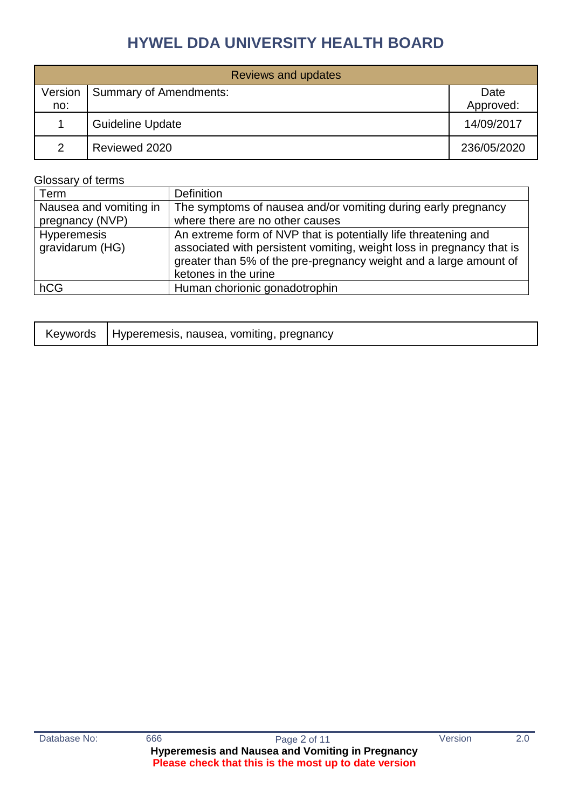|               | <b>Reviews and updates</b> |             |
|---------------|----------------------------|-------------|
| Version       | Summary of Amendments:     | Date        |
| no:           |                            | Approved:   |
|               | <b>Guideline Update</b>    | 14/09/2017  |
| $\mathcal{P}$ | Reviewed 2020              | 236/05/2020 |

#### Glossary of terms

| Term                   | <b>Definition</b>                                                                                                                                                  |
|------------------------|--------------------------------------------------------------------------------------------------------------------------------------------------------------------|
| Nausea and vomiting in | The symptoms of nausea and/or vomiting during early pregnancy                                                                                                      |
| pregnancy (NVP)        | where there are no other causes                                                                                                                                    |
| <b>Hyperemesis</b>     | An extreme form of NVP that is potentially life threatening and                                                                                                    |
| gravidarum (HG)        | associated with persistent vomiting, weight loss in pregnancy that is<br>greater than 5% of the pre-pregnancy weight and a large amount of<br>ketones in the urine |
| hCG                    | Human chorionic gonadotrophin                                                                                                                                      |

| Keywords   Hyperemesis, nausea, vomiting, pregnancy |  |
|-----------------------------------------------------|--|
|-----------------------------------------------------|--|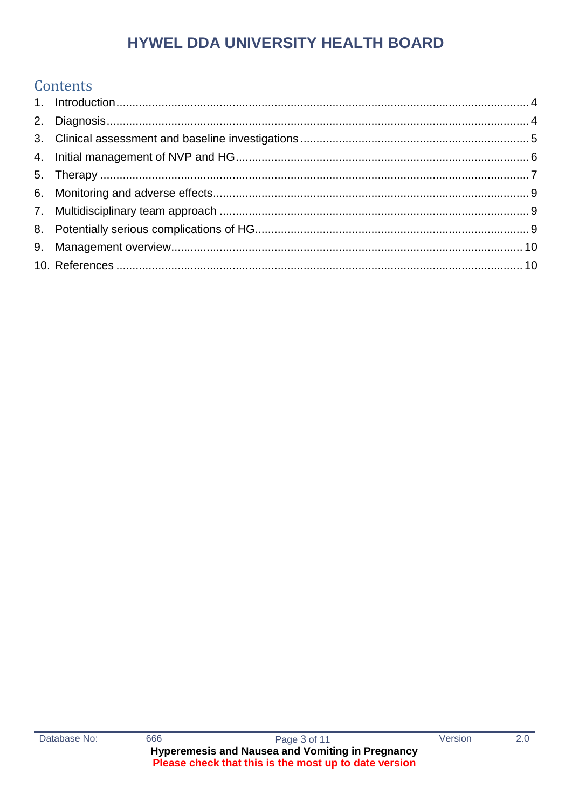### Contents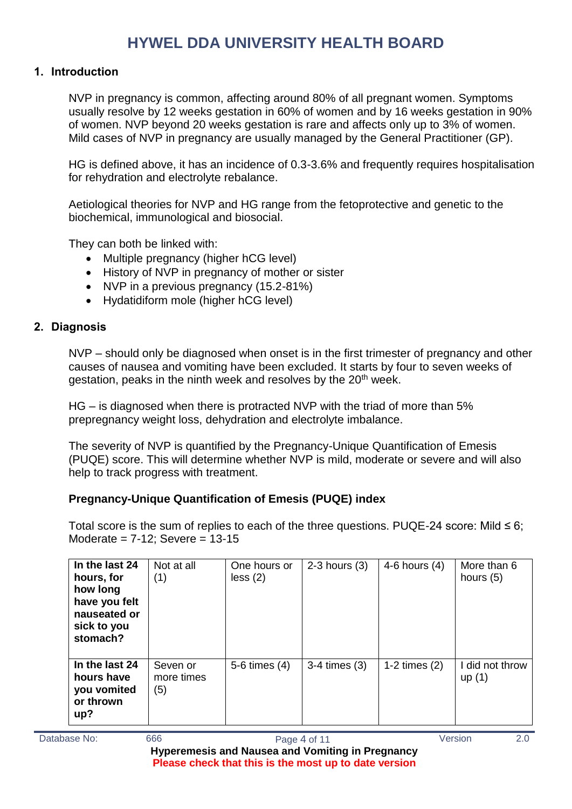#### <span id="page-3-0"></span>**1. Introduction**

NVP in pregnancy is common, affecting around 80% of all pregnant women. Symptoms usually resolve by 12 weeks gestation in 60% of women and by 16 weeks gestation in 90% of women. NVP beyond 20 weeks gestation is rare and affects only up to 3% of women. Mild cases of NVP in pregnancy are usually managed by the General Practitioner (GP).

HG is defined above, it has an incidence of 0.3-3.6% and frequently requires hospitalisation for rehydration and electrolyte rebalance.

Aetiological theories for NVP and HG range from the fetoprotective and genetic to the biochemical, immunological and biosocial.

They can both be linked with:

- Multiple pregnancy (higher hCG level)
- History of NVP in pregnancy of mother or sister
- NVP in a previous pregnancy (15.2-81%)
- Hydatidiform mole (higher hCG level)

#### <span id="page-3-1"></span>**2. Diagnosis**

NVP – should only be diagnosed when onset is in the first trimester of pregnancy and other causes of nausea and vomiting have been excluded. It starts by four to seven weeks of gestation, peaks in the ninth week and resolves by the 20<sup>th</sup> week.

HG – is diagnosed when there is protracted NVP with the triad of more than 5% prepregnancy weight loss, dehydration and electrolyte imbalance.

The severity of NVP is quantified by the Pregnancy-Unique Quantification of Emesis (PUQE) score. This will determine whether NVP is mild, moderate or severe and will also help to track progress with treatment.

#### **Pregnancy-Unique Quantification of Emesis (PUQE) index**

Total score is the sum of replies to each of the three questions. PUQE-24 score: Mild  $\leq 6$ : Moderate =  $7-12$ ; Severe =  $13-15$ 

| In the last 24<br>hours, for<br>how long<br>have you felt<br>nauseated or<br>sick to you<br>stomach? | Not at all<br>(1)             | One hours or<br>less (2) | $2-3$ hours $(3)$ | 4-6 hours $(4)$ | More than 6<br>hours $(5)$  |
|------------------------------------------------------------------------------------------------------|-------------------------------|--------------------------|-------------------|-----------------|-----------------------------|
| In the last 24<br>hours have<br>you vomited<br>or thrown<br>up?                                      | Seven or<br>more times<br>(5) | 5-6 times $(4)$          | $3-4$ times $(3)$ | 1-2 times $(2)$ | I did not throw<br>up $(1)$ |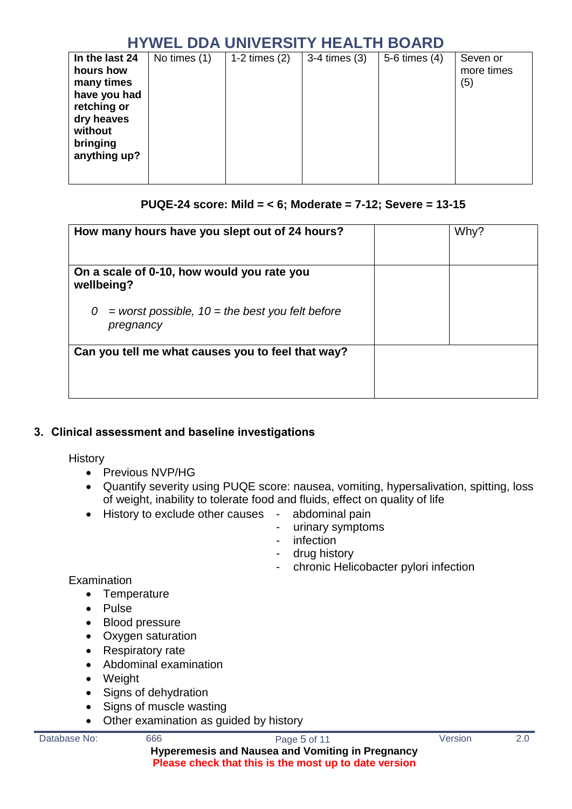| In the last 24<br>hours how<br>many times<br>have you had<br>retching or<br>dry heaves<br>without<br>bringing<br>anything up? | No times (1) | 1-2 times $(2)$ | $3-4$ times $(3)$ | 5-6 times (4) | Seven or<br>more times<br>(5) |
|-------------------------------------------------------------------------------------------------------------------------------|--------------|-----------------|-------------------|---------------|-------------------------------|
|-------------------------------------------------------------------------------------------------------------------------------|--------------|-----------------|-------------------|---------------|-------------------------------|

#### **PUQE-24 score: Mild = < 6; Moderate = 7-12; Severe = 13-15**

| How many hours have you slept out of 24 hours?                        | Why? |
|-----------------------------------------------------------------------|------|
| On a scale of 0-10, how would you rate you<br>wellbeing?              |      |
| $=$ worst possible, 10 $=$ the best you felt before<br>0<br>pregnancy |      |
| Can you tell me what causes you to feel that way?                     |      |
|                                                                       |      |

#### <span id="page-4-0"></span>**3. Clinical assessment and baseline investigations**

**History** 

- Previous NVP/HG
- Quantify severity using PUQE score: nausea, vomiting, hypersalivation, spitting, loss of weight, inability to tolerate food and fluids, effect on quality of life
- History to exclude other causes abdominal pain
	- urinary symptoms
	- infection
	- drug history
	- chronic Helicobacter pylori infection

**Examination** 

- Temperature
- Pulse
- Blood pressure
- Oxygen saturation
- Respiratory rate
- Abdominal examination
- Weight
- Signs of dehydration
- Signs of muscle wasting
- Other examination as guided by history

**Hyperemesis and Nausea and Vomiting in Pregnancy Please check that this is the most up to date version**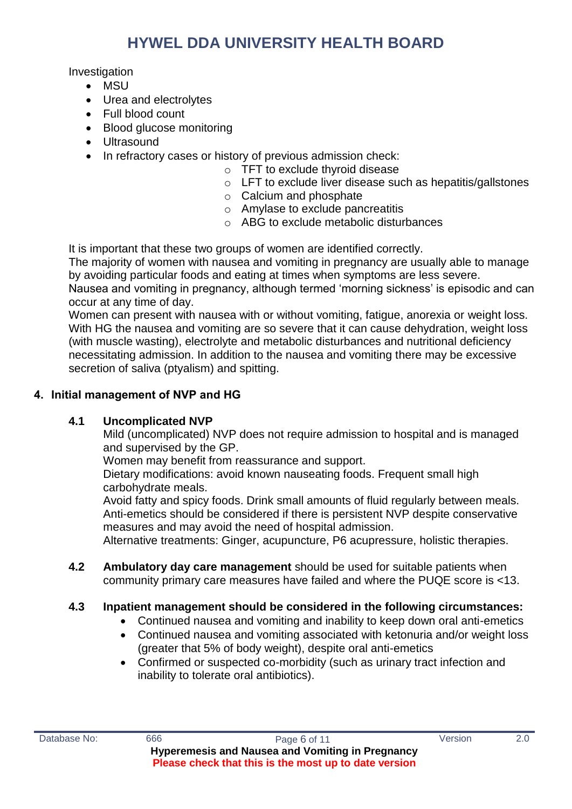Investigation

- MSU
- Urea and electrolytes
- Full blood count
- Blood glucose monitoring
- Ultrasound
- In refractory cases or history of previous admission check:
	- o TFT to exclude thyroid disease
	- o LFT to exclude liver disease such as hepatitis/gallstones
	- o Calcium and phosphate
	- o Amylase to exclude pancreatitis
	- o ABG to exclude metabolic disturbances

It is important that these two groups of women are identified correctly.

The majority of women with nausea and vomiting in pregnancy are usually able to manage by avoiding particular foods and eating at times when symptoms are less severe. Nausea and vomiting in pregnancy, although termed 'morning sickness' is episodic and can occur at any time of day.

Women can present with nausea with or without vomiting, fatigue, anorexia or weight loss. With HG the nausea and vomiting are so severe that it can cause dehydration, weight loss (with muscle wasting), electrolyte and metabolic disturbances and nutritional deficiency necessitating admission. In addition to the nausea and vomiting there may be excessive secretion of saliva (ptyalism) and spitting.

#### <span id="page-5-0"></span>**4. Initial management of NVP and HG**

#### **4.1 Uncomplicated NVP**

Mild (uncomplicated) NVP does not require admission to hospital and is managed and supervised by the GP.

Women may benefit from reassurance and support.

Dietary modifications: avoid known nauseating foods. Frequent small high carbohydrate meals.

Avoid fatty and spicy foods. Drink small amounts of fluid regularly between meals. Anti-emetics should be considered if there is persistent NVP despite conservative measures and may avoid the need of hospital admission.

Alternative treatments: Ginger, acupuncture, P6 acupressure, holistic therapies.

**4.2 Ambulatory day care management** should be used for suitable patients when community primary care measures have failed and where the PUQE score is <13.

#### **4.3 Inpatient management should be considered in the following circumstances:**

- Continued nausea and vomiting and inability to keep down oral anti-emetics
- Continued nausea and vomiting associated with ketonuria and/or weight loss (greater that 5% of body weight), despite oral anti-emetics
- Confirmed or suspected co-morbidity (such as urinary tract infection and inability to tolerate oral antibiotics).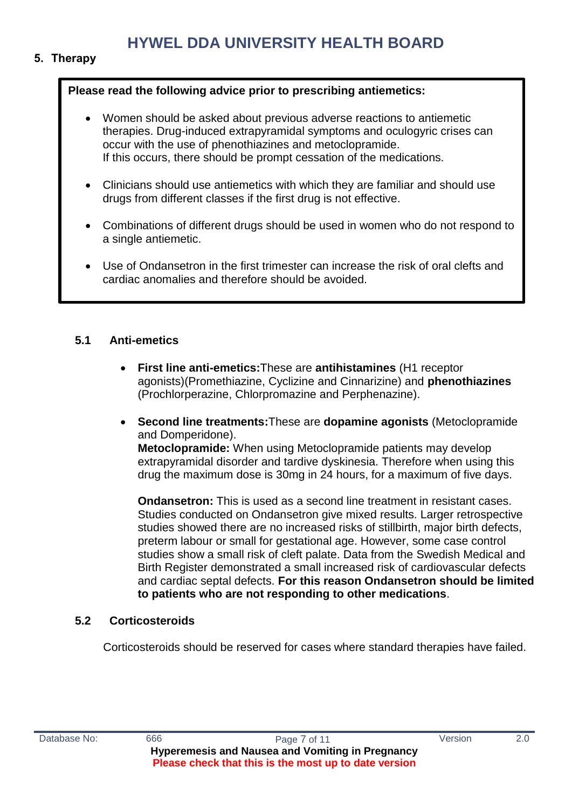#### <span id="page-6-0"></span>**5. Therapy**

#### **Please read the following advice prior to prescribing antiemetics:**

- Women should be asked about previous adverse reactions to antiemetic therapies. Drug-induced extrapyramidal symptoms and oculogyric crises can occur with the use of phenothiazines and metoclopramide. If this occurs, there should be prompt cessation of the medications.
- Clinicians should use antiemetics with which they are familiar and should use drugs from different classes if the first drug is not effective.
- Combinations of different drugs should be used in women who do not respond to a single antiemetic.
- Use of Ondansetron in the first trimester can increase the risk of oral clefts and cardiac anomalies and therefore should be avoided.

#### **5.1 Anti-emetics**

- **First line anti-emetics:**These are **antihistamines** (H1 receptor agonists)(Promethiazine, Cyclizine and Cinnarizine) and **phenothiazines** (Prochlorperazine, Chlorpromazine and Perphenazine).
- **Second line treatments:**These are **dopamine agonists** (Metoclopramide and Domperidone).

**Metoclopramide:** When using Metoclopramide patients may develop extrapyramidal disorder and tardive dyskinesia. Therefore when using this drug the maximum dose is 30mg in 24 hours, for a maximum of five days.

**Ondansetron:** This is used as a second line treatment in resistant cases. Studies conducted on Ondansetron give mixed results. Larger retrospective studies showed there are no increased risks of stillbirth, major birth defects, preterm labour or small for gestational age. However, some case control studies show a small risk of cleft palate. Data from the Swedish Medical and Birth Register demonstrated a small increased risk of cardiovascular defects and cardiac septal defects. **For this reason Ondansetron should be limited to patients who are not responding to other medications**.

#### **5.2 Corticosteroids**

Corticosteroids should be reserved for cases where standard therapies have failed.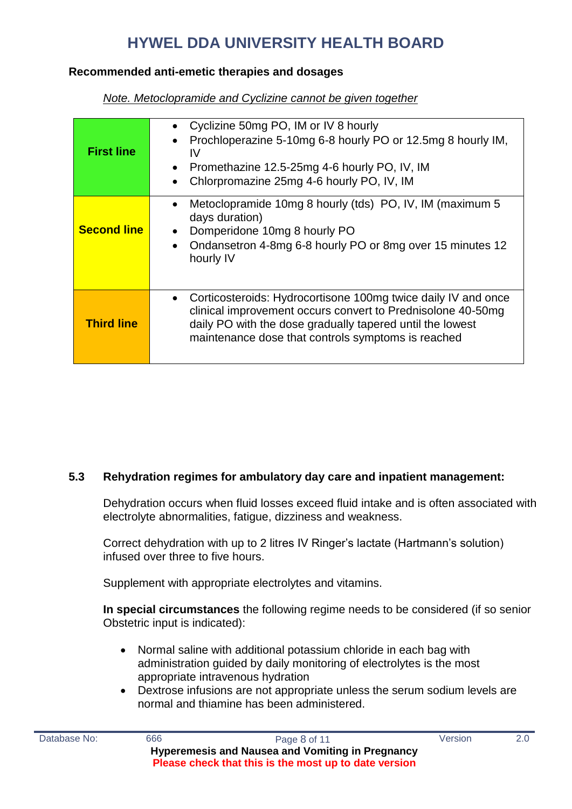#### **Recommended anti-emetic therapies and dosages**

*Note. Metoclopramide and Cyclizine cannot be given together*

|                    | Cyclizine 50mg PO, IM or IV 8 hourly                                       |
|--------------------|----------------------------------------------------------------------------|
|                    | Prochloperazine 5-10mg 6-8 hourly PO or 12.5mg 8 hourly IM,                |
| <b>First line</b>  | IV                                                                         |
|                    | Promethazine 12.5-25mg 4-6 hourly PO, IV, IM<br>$\bullet$                  |
|                    |                                                                            |
|                    | Chlorpromazine 25mg 4-6 hourly PO, IV, IM                                  |
|                    | Metoclopramide 10mg 8 hourly (tds) PO, IV, IM (maximum 5<br>$\bullet$      |
|                    | days duration)                                                             |
| <b>Second line</b> | Domperidone 10mg 8 hourly PO                                               |
|                    | Ondansetron 4-8mg 6-8 hourly PO or 8mg over 15 minutes 12                  |
|                    | hourly IV                                                                  |
|                    |                                                                            |
|                    |                                                                            |
|                    | Corticosteroids: Hydrocortisone 100mg twice daily IV and once<br>$\bullet$ |
|                    | clinical improvement occurs convert to Prednisolone 40-50mg                |
| <b>Third line</b>  |                                                                            |
|                    | daily PO with the dose gradually tapered until the lowest                  |
|                    | maintenance dose that controls symptoms is reached                         |
|                    |                                                                            |
|                    |                                                                            |

#### **5.3 Rehydration regimes for ambulatory day care and inpatient management:**

Dehydration occurs when fluid losses exceed fluid intake and is often associated with electrolyte abnormalities, fatigue, dizziness and weakness.

Correct dehydration with up to 2 litres IV Ringer's lactate (Hartmann's solution) infused over three to five hours.

Supplement with appropriate electrolytes and vitamins.

**In special circumstances** the following regime needs to be considered (if so senior Obstetric input is indicated):

- Normal saline with additional potassium chloride in each bag with administration guided by daily monitoring of electrolytes is the most appropriate intravenous hydration
- Dextrose infusions are not appropriate unless the serum sodium levels are normal and thiamine has been administered.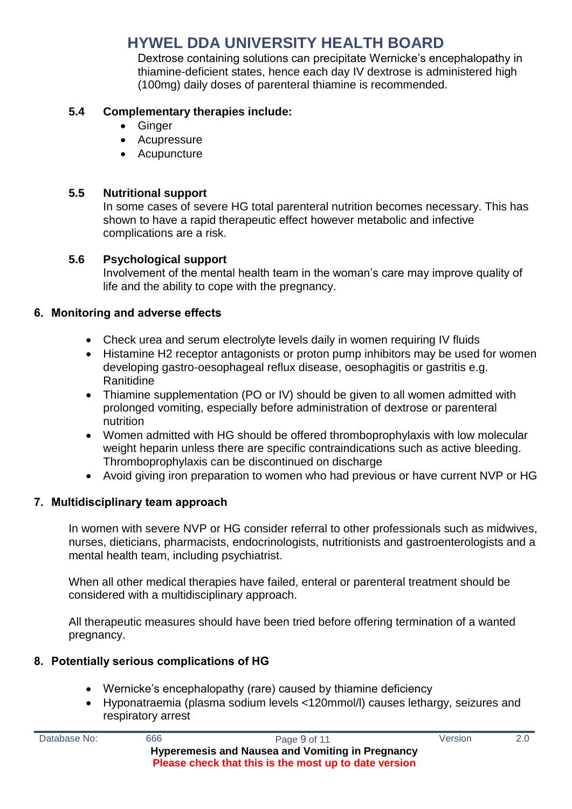Dextrose containing solutions can precipitate Wernicke's encephalopathy in thiamine-deficient states, hence each day IV dextrose is administered high (100mg) daily doses of parenteral thiamine is recommended.

#### **5.4 Complementary therapies include:**

- Ginger
- Acupressure
- Acupuncture

#### **5.5 Nutritional support**

In some cases of severe HG total parenteral nutrition becomes necessary. This has shown to have a rapid therapeutic effect however metabolic and infective complications are a risk.

#### **5.6 Psychological support**

Involvement of the mental health team in the woman's care may improve quality of life and the ability to cope with the pregnancy.

#### <span id="page-8-0"></span>**6. Monitoring and adverse effects**

- Check urea and serum electrolyte levels daily in women requiring IV fluids
- Histamine H2 receptor antagonists or proton pump inhibitors may be used for women developing gastro-oesophageal reflux disease, oesophagitis or gastritis e.g. Ranitidine
- Thiamine supplementation (PO or IV) should be given to all women admitted with prolonged vomiting, especially before administration of dextrose or parenteral nutrition
- Women admitted with HG should be offered thromboprophylaxis with low molecular weight heparin unless there are specific contraindications such as active bleeding. Thromboprophylaxis can be discontinued on discharge
- Avoid giving iron preparation to women who had previous or have current NVP or HG

#### <span id="page-8-1"></span>**7. Multidisciplinary team approach**

In women with severe NVP or HG consider referral to other professionals such as midwives, nurses, dieticians, pharmacists, endocrinologists, nutritionists and gastroenterologists and a mental health team, including psychiatrist.

When all other medical therapies have failed, enteral or parenteral treatment should be considered with a multidisciplinary approach.

All therapeutic measures should have been tried before offering termination of a wanted pregnancy.

#### <span id="page-8-2"></span>**8. Potentially serious complications of HG**

- Wernicke's encephalopathy (rare) caused by thiamine deficiency
- Hyponatraemia (plasma sodium levels <120mmol/l) causes lethargy, seizures and respiratory arrest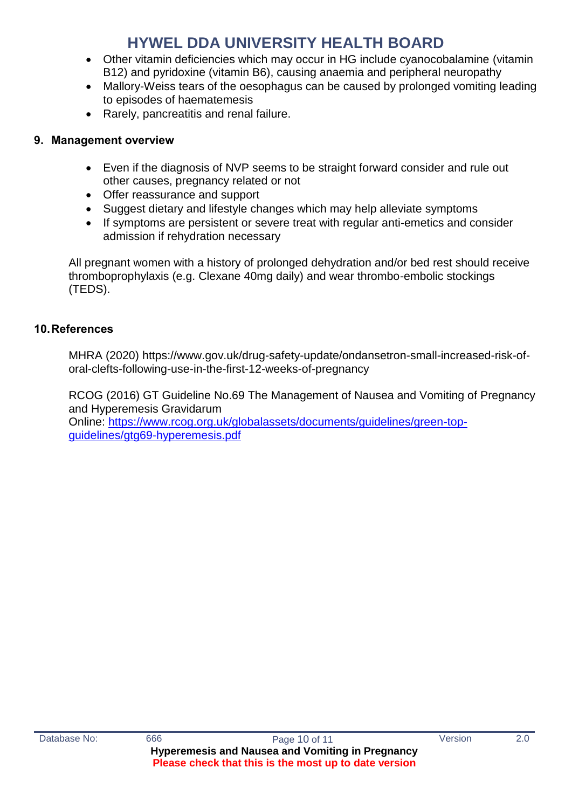- Other vitamin deficiencies which may occur in HG include cyanocobalamine (vitamin B12) and pyridoxine (vitamin B6), causing anaemia and peripheral neuropathy
- Mallory-Weiss tears of the oesophagus can be caused by prolonged vomiting leading to episodes of haematemesis
- Rarely, pancreatitis and renal failure.

#### <span id="page-9-0"></span>**9. Management overview**

- Even if the diagnosis of NVP seems to be straight forward consider and rule out other causes, pregnancy related or not
- Offer reassurance and support
- Suggest dietary and lifestyle changes which may help alleviate symptoms
- If symptoms are persistent or severe treat with regular anti-emetics and consider admission if rehydration necessary

All pregnant women with a history of prolonged dehydration and/or bed rest should receive thromboprophylaxis (e.g. Clexane 40mg daily) and wear thrombo-embolic stockings (TEDS).

#### <span id="page-9-1"></span>**10.References**

MHRA (2020) https://www.gov.uk/drug-safety-update/ondansetron-small-increased-risk-oforal-clefts-following-use-in-the-first-12-weeks-of-pregnancy

RCOG (2016) GT Guideline No.69 The Management of Nausea and Vomiting of Pregnancy and Hyperemesis Gravidarum Online: [https://www.rcog.org.uk/globalassets/documents/guidelines/green-top](https://www.rcog.org.uk/globalassets/documents/guidelines/green-top-guidelines/gtg69-hyperemesis.pdf)[guidelines/gtg69-hyperemesis.pdf](https://www.rcog.org.uk/globalassets/documents/guidelines/green-top-guidelines/gtg69-hyperemesis.pdf)